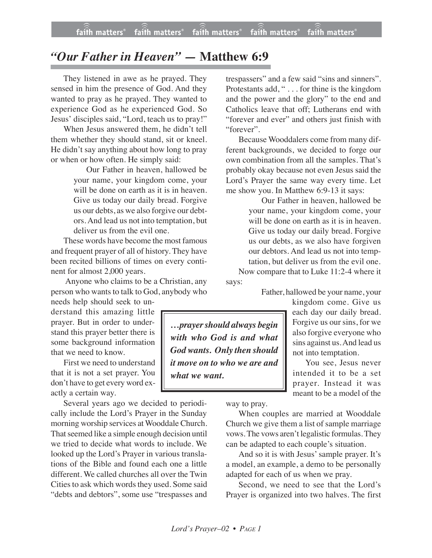## *"Our Father in Heaven" —* **Matthew 6:9**

They listened in awe as he prayed. They sensed in him the presence of God. And they wanted to pray as he prayed. They wanted to experience God as he experienced God. So Jesus' disciples said, "Lord, teach us to pray!"

When Jesus answered them, he didn't tell them whether they should stand, sit or kneel. He didn't say anything about how long to pray or when or how often. He simply said:

> Our Father in heaven, hallowed be your name, your kingdom come, your will be done on earth as it is in heaven. Give us today our daily bread. Forgive us our debts, as we also forgive our debtors. And lead us not into temptation, but deliver us from the evil one.

These words have become the most famous and frequent prayer of all of history. They have been recited billions of times on every continent for almost 2,000 years.

Anyone who claims to be a Christian, any person who wants to talk to God, anybody who

needs help should seek to understand this amazing little prayer. But in order to understand this prayer better there is some background information that we need to know.

First we need to understand that it is not a set prayer. You don't have to get every word exactly a certain way.

Several years ago we decided to periodically include the Lord's Prayer in the Sunday morning worship services at Wooddale Church. That seemed like a simple enough decision until we tried to decide what words to include. We looked up the Lord's Prayer in various translations of the Bible and found each one a little different. We called churches all over the Twin Cities to ask which words they used. Some said "debts and debtors", some use "trespasses and

trespassers" and a few said "sins and sinners". Protestants add, " . . . for thine is the kingdom and the power and the glory" to the end and Catholics leave that off; Lutherans end with "forever and ever" and others just finish with "forever".

Because Wooddalers come from many different backgrounds, we decided to forge our own combination from all the samples. That's probably okay because not even Jesus said the Lord's Prayer the same way every time. Let me show you. In Matthew 6:9-13 it says:

Our Father in heaven, hallowed be your name, your kingdom come, your will be done on earth as it is in heaven. Give us today our daily bread. Forgive us our debts, as we also have forgiven our debtors. And lead us not into temptation, but deliver us from the evil one. Now compare that to Luke 11:2-4 where it

says:

Father, hallowed be your name, your

not into temptation.

kingdom come. Give us each day our daily bread. Forgive us our sins, for we also forgive everyone who sins against us.And lead us

You see, Jesus never intended it to be a set prayer. Instead it was meant to be a model of the

*…prayer should always begin with who God is and what God wants. Only then should it move on to who we are and what we want.*

way to pray.

When couples are married at Wooddale Church we give them a list of sample marriage vows.The vows aren't legalistic formulas.They can be adapted to each couple's situation.

And so it is with Jesus' sample prayer. It's a model, an example, a demo to be personally adapted for each of us when we pray.

Second, we need to see that the Lord's Prayer is organized into two halves. The first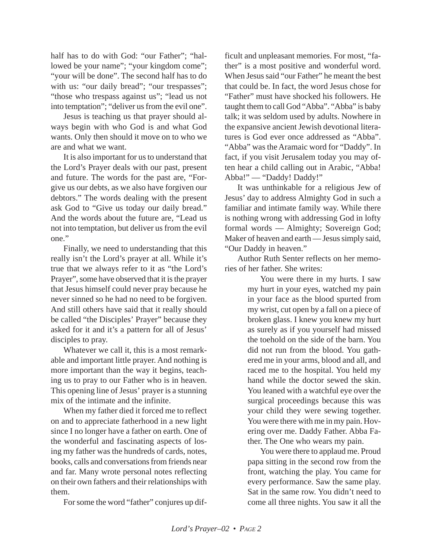half has to do with God: "our Father"; "hallowed be your name"; "your kingdom come"; "your will be done". The second half has to do with us: "our daily bread"; "our trespasses"; "those who trespass against us"; "lead us not into temptation"; "deliver us from the evil one".

Jesus is teaching us that prayer should always begin with who God is and what God wants. Only then should it move on to who we are and what we want.

It is also important for us to understand that the Lord's Prayer deals with our past, present and future. The words for the past are, "Forgive us our debts, as we also have forgiven our debtors." The words dealing with the present ask God to "Give us today our daily bread." And the words about the future are, "Lead us not into temptation, but deliver us from the evil one."

Finally, we need to understanding that this really isn't the Lord's prayer at all. While it's true that we always refer to it as "the Lord's Prayer", some have observed that it is the prayer that Jesus himself could never pray because he never sinned so he had no need to be forgiven. And still others have said that it really should be called "the Disciples' Prayer" because they asked for it and it's a pattern for all of Jesus' disciples to pray.

Whatever we call it, this is a most remarkable and important little prayer. And nothing is more important than the way it begins, teaching us to pray to our Father who is in heaven. This opening line of Jesus' prayer is a stunning mix of the intimate and the infinite.

When my father died it forced me to reflect on and to appreciate fatherhood in a new light since I no longer have a father on earth. One of the wonderful and fascinating aspects of losing my father was the hundreds of cards, notes, books, calls and conversations from friends near and far. Many wrote personal notes reflecting on their own fathers and their relationships with them.

For some the word "father" conjures up dif-

ficult and unpleasant memories. For most, "father" is a most positive and wonderful word. When Jesus said "our Father" he meant the best that could be. In fact, the word Jesus chose for "Father" must have shocked his followers. He taught them to call God "Abba". "Abba" is baby talk; it was seldom used by adults. Nowhere in the expansive ancient Jewish devotional literatures is God ever once addressed as "Abba". "Abba" was the Aramaic word for "Daddy". In fact, if you visit Jerusalem today you may often hear a child calling out in Arabic, "Abba! Abba!" — "Daddy! Daddy!"

It was unthinkable for a religious Jew of Jesus' day to address Almighty God in such a familiar and intimate family way. While there is nothing wrong with addressing God in lofty formal words — Almighty; Sovereign God; Maker of heaven and earth — Jesus simply said, "Our Daddy in heaven."

Author Ruth Senter reflects on her memories of her father. She writes:

> You were there in my hurts. I saw my hurt in your eyes, watched my pain in your face as the blood spurted from my wrist, cut open by a fall on a piece of broken glass. I knew you knew my hurt as surely as if you yourself had missed the toehold on the side of the barn. You did not run from the blood. You gathered me in your arms, blood and all, and raced me to the hospital. You held my hand while the doctor sewed the skin. You leaned with a watchful eye over the surgical proceedings because this was your child they were sewing together. You were there with me in my pain. Hovering over me. Daddy Father. Abba Father. The One who wears my pain.

> You were there to applaud me. Proud papa sitting in the second row from the front, watching the play. You came for every performance. Saw the same play. Sat in the same row. You didn't need to come all three nights. You saw it all the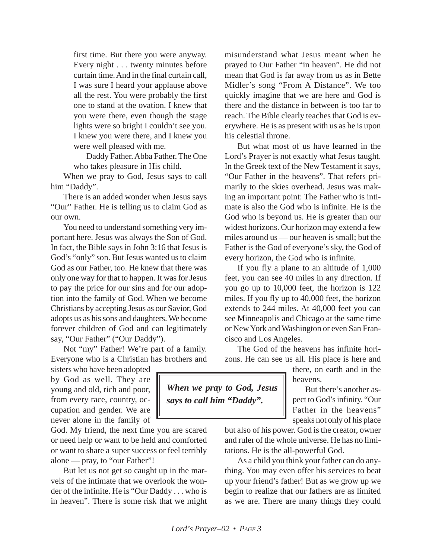first time. But there you were anyway. Every night . . . twenty minutes before curtain time. And in the final curtain call, I was sure I heard your applause above all the rest. You were probably the first one to stand at the ovation. I knew that you were there, even though the stage lights were so bright I couldn't see you. I knew you were there, and I knew you were well pleased with me.

Daddy Father. Abba Father. The One who takes pleasure in His child.

When we pray to God, Jesus says to call him "Daddy".

There is an added wonder when Jesus says "Our" Father. He is telling us to claim God as our own.

You need to understand something very important here. Jesus was always the Son of God. In fact, the Bible says in John 3:16 that Jesus is God's "only" son. But Jesus wanted us to claim God as our Father, too. He knew that there was only one way for that to happen. It was for Jesus to pay the price for our sins and for our adoption into the family of God. When we become Christians by accepting Jesus as our Savior, God adopts us as his sons and daughters. We become forever children of God and can legitimately say, "Our Father" ("Our Daddy").

Not "my" Father! We're part of a family. Everyone who is a Christian has brothers and

sisters who have been adopted by God as well. They are young and old, rich and poor, from every race, country, occupation and gender. We are never alone in the family of

God. My friend, the next time you are scared or need help or want to be held and comforted or want to share a super success or feel terribly alone — pray, to "our Father"!

But let us not get so caught up in the marvels of the intimate that we overlook the wonder of the infinite. He is "Our Daddy . . . who is in heaven". There is some risk that we might misunderstand what Jesus meant when he prayed to Our Father "in heaven". He did not mean that God is far away from us as in Bette Midler's song "From A Distance". We too quickly imagine that we are here and God is there and the distance in between is too far to reach. The Bible clearly teaches that God is everywhere. He is as present with us as he is upon his celestial throne.

But what most of us have learned in the Lord's Prayer is not exactly what Jesus taught. In the Greek text of the New Testament it says, "Our Father in the heavens". That refers primarily to the skies overhead. Jesus was making an important point: The Father who is intimate is also the God who is infinite. He is the God who is beyond us. He is greater than our widest horizons. Our horizon may extend a few miles around us — our heaven is small; but the Father is the God of everyone's sky, the God of every horizon, the God who is infinite.

If you fly a plane to an altitude of 1,000 feet, you can see 40 miles in any direction. If you go up to 10,000 feet, the horizon is 122 miles. If you fly up to 40,000 feet, the horizon extends to 244 miles. At 40,000 feet you can see Minneapolis and Chicago at the same time or New York and Washington or even San Francisco and Los Angeles.

The God of the heavens has infinite horizons. He can see us all. His place is here and

> there, on earth and in the heavens.

But there's another aspect to God's infinity. "Our Father in the heavens" speaks not only of his place

but also of his power. God is the creator, owner and ruler of the whole universe. He has no limitations. He is the all-powerful God.

As a child you think your father can do anything. You may even offer his services to beat up your friend's father! But as we grow up we begin to realize that our fathers are as limited as we are. There are many things they could

*When we pray to God, Jesus says to call him "Daddy".*